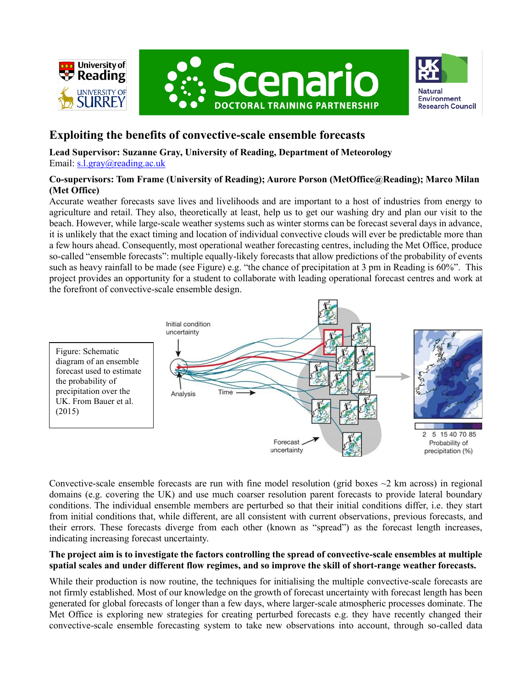





# **Exploiting the benefits of convective-scale ensemble forecasts**

**Lead Supervisor: Suzanne Gray, University of Reading, Department of Meteorology** Email: [s.l.gray@reading.ac.uk](mailto:s.l.gray@reading.ac.uk)

# **Co-supervisors: Tom Frame (University of Reading); Aurore Porson (MetOffice@Reading); Marco Milan (Met Office)**

Accurate weather forecasts save lives and livelihoods and are important to a host of industries from energy to agriculture and retail. They also, theoretically at least, help us to get our washing dry and plan our visit to the beach. However, while large-scale weather systems such as winter storms can be forecast several days in advance, it is unlikely that the exact timing and location of individual convective clouds will ever be predictable more than a few hours ahead. Consequently, most operational weather forecasting centres, including the Met Office, produce so-called "ensemble forecasts": multiple equally-likely forecasts that allow predictions of the probability of events such as heavy rainfall to be made (see Figure) e.g. "the chance of precipitation at 3 pm in Reading is 60%". This project provides an opportunity for a student to collaborate with leading operational forecast centres and work at the forefront of convective-scale ensemble design.



Convective-scale ensemble forecasts are run with fine model resolution (grid boxes  $\sim$ 2 km across) in regional domains (e.g. covering the UK) and use much coarser resolution parent forecasts to provide lateral boundary conditions. The individual ensemble members are perturbed so that their initial conditions differ, i.e. they start from initial conditions that, while different, are all consistent with current observations, previous forecasts, and their errors. These forecasts diverge from each other (known as "spread") as the forecast length increases, indicating increasing forecast uncertainty.

## **The project aim is to investigate the factors controlling the spread of convective-scale ensembles at multiple spatial scales and under different flow regimes, and so improve the skill of short-range weather forecasts.**

While their production is now routine, the techniques for initialising the multiple convective-scale forecasts are not firmly established. Most of our knowledge on the growth of forecast uncertainty with forecast length has been generated for global forecasts of longer than a few days, where larger-scale atmospheric processes dominate. The Met Office is exploring new strategies for creating perturbed forecasts e.g. they have recently changed their convective-scale ensemble forecasting system to take new observations into account, through so-called data